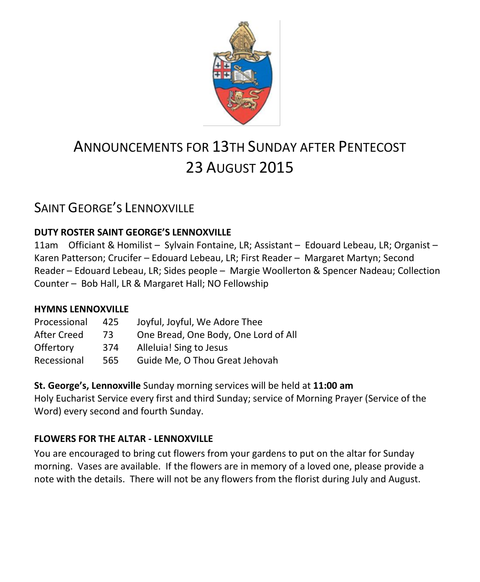

# ANNOUNCEMENTS FOR 13TH SUNDAY AFTER PENTECOST 23 AUGUST 2015

# SAINT GEORGE'S LENNOXVILLE

#### **DUTY ROSTER SAINT GEORGE'S LENNOXVILLE**

11am Officiant & Homilist – Sylvain Fontaine, LR; Assistant – Edouard Lebeau, LR; Organist – Karen Patterson; Crucifer – Edouard Lebeau, LR; First Reader – Margaret Martyn; Second Reader – Edouard Lebeau, LR; Sides people – Margie Woollerton & Spencer Nadeau; Collection Counter – Bob Hall, LR & Margaret Hall; NO Fellowship

#### **HYMNS LENNOXVILLE**

| Processional | 425 | Joyful, Joyful, We Adore Thee        |
|--------------|-----|--------------------------------------|
| After Creed  | 73. | One Bread, One Body, One Lord of All |
| Offertory    | 374 | Alleluia! Sing to Jesus              |
| Recessional  | 565 | Guide Me, O Thou Great Jehovah       |

**St. George's, Lennoxville** Sunday morning services will be held at **11:00 am** Holy Eucharist Service every first and third Sunday; service of Morning Prayer (Service of the Word) every second and fourth Sunday.

#### **FLOWERS FOR THE ALTAR - LENNOXVILLE**

You are encouraged to bring cut flowers from your gardens to put on the altar for Sunday morning. Vases are available. If the flowers are in memory of a loved one, please provide a note with the details. There will not be any flowers from the florist during July and August.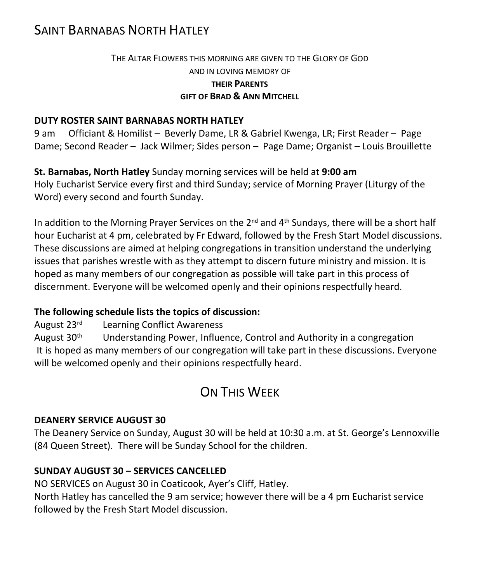# SAINT BARNABAS NORTH HATLEY

#### THE ALTAR FLOWERS THIS MORNING ARE GIVEN TO THE GLORY OF GOD AND IN LOVING MEMORY OF **THEIR PARENTS GIFT OF BRAD & ANN MITCHELL**

#### **DUTY ROSTER SAINT BARNABAS NORTH HATLEY**

9 am Officiant & Homilist – Beverly Dame, LR & Gabriel Kwenga, LR; First Reader – Page Dame; Second Reader – Jack Wilmer; Sides person – Page Dame; Organist – Louis Brouillette

**St. Barnabas, North Hatley** Sunday morning services will be held at **9:00 am** Holy Eucharist Service every first and third Sunday; service of Morning Prayer (Liturgy of the Word) every second and fourth Sunday.

In addition to the Morning Prayer Services on the  $2<sup>nd</sup>$  and  $4<sup>th</sup>$  Sundays, there will be a short half hour Eucharist at 4 pm, celebrated by Fr Edward, followed by the Fresh Start Model discussions. These discussions are aimed at helping congregations in transition understand the underlying issues that parishes wrestle with as they attempt to discern future ministry and mission. It is hoped as many members of our congregation as possible will take part in this process of discernment. Everyone will be welcomed openly and their opinions respectfully heard.

#### **The following schedule lists the topics of discussion:**

August 23rd Learning Conflict Awareness

August  $30<sup>th</sup>$  Understanding Power, Influence, Control and Authority in a congregation It is hoped as many members of our congregation will take part in these discussions. Everyone will be welcomed openly and their opinions respectfully heard.

# ON THIS WEEK

#### **DEANERY SERVICE AUGUST 30**

The Deanery Service on Sunday, August 30 will be held at 10:30 a.m. at St. George's Lennoxville (84 Queen Street). There will be Sunday School for the children.

#### **SUNDAY AUGUST 30 – SERVICES CANCELLED**

NO SERVICES on August 30 in Coaticook, Ayer's Cliff, Hatley.

North Hatley has cancelled the 9 am service; however there will be a 4 pm Eucharist service followed by the Fresh Start Model discussion.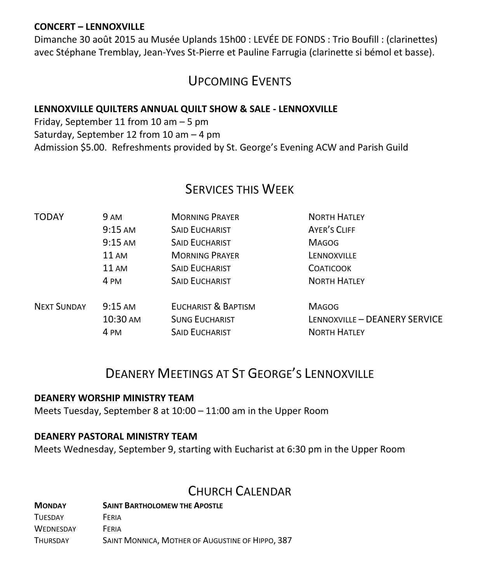#### **CONCERT – LENNOXVILLE**

Dimanche 30 août 2015 au Musée Uplands 15h00 : LEVÉE DE FONDS : Trio Boufill : (clarinettes) avec Stéphane Tremblay, Jean-Yves St-Pierre et Pauline Farrugia (clarinette si bémol et basse).

# UPCOMING EVENTS

#### **LENNOXVILLE QUILTERS ANNUAL QUILT SHOW & SALE - LENNOXVILLE**

Friday, September 11 from 10 am – 5 pm Saturday, September 12 from 10 am – 4 pm Admission \$5.00. Refreshments provided by St. George's Evening ACW and Parish Guild

### SERVICES THIS WEEK

| <b>TODAY</b>       | 9 AM              | <b>MORNING PRAYER</b> | <b>NORTH HATLEY</b>           |
|--------------------|-------------------|-----------------------|-------------------------------|
|                    | $9:15$ AM         | <b>SAID EUCHARIST</b> | AYER'S CLIFF                  |
|                    | $9:15$ AM         | <b>SAID EUCHARIST</b> | <b>MAGOG</b>                  |
|                    | $11 \text{ AM}$   | <b>MORNING PRAYER</b> | LENNOXVILLE                   |
|                    | <b>11 AM</b>      | <b>SAID EUCHARIST</b> | <b>COATICOOK</b>              |
|                    | 4 PM              | <b>SAID EUCHARIST</b> | <b>NORTH HATLEY</b>           |
| <b>NEXT SUNDAY</b> | $9:15 \text{ AM}$ | EUCHARIST & BAPTISM   | <b>MAGOG</b>                  |
|                    | 10:30 AM          | <b>SUNG EUCHARIST</b> | LENNOXVILLE - DEANERY SERVICE |
|                    | 4 PM              | <b>SAID EUCHARIST</b> | <b>NORTH HATLEY</b>           |
|                    |                   |                       |                               |

# DEANERY MEETINGS AT ST GEORGE'S LENNOXVILLE

#### **DEANERY WORSHIP MINISTRY TEAM**

Meets Tuesday, September 8 at 10:00 – 11:00 am in the Upper Room

#### **DEANERY PASTORAL MINISTRY TEAM**

Meets Wednesday, September 9, starting with Eucharist at 6:30 pm in the Upper Room

### CHURCH CALENDAR

| <b>MONDAY</b>    | <b>SAINT BARTHOLOMEW THE APOSTLE</b>             |  |  |
|------------------|--------------------------------------------------|--|--|
| <b>TUESDAY</b>   | FFRIA                                            |  |  |
| <b>WEDNESDAY</b> | FFRIA                                            |  |  |
| <b>THURSDAY</b>  | SAINT MONNICA, MOTHER OF AUGUSTINE OF HIPPO, 387 |  |  |